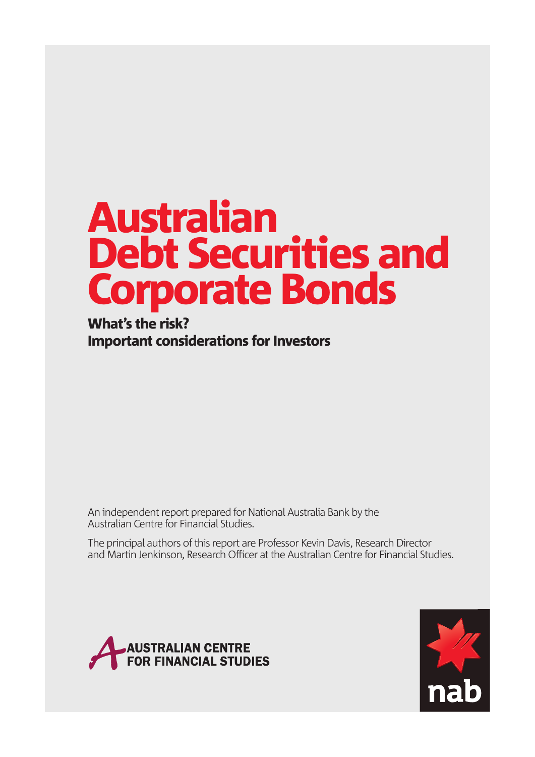# Australian Debt Securities and Corporate Bonds

What's the risk? Important considerations for Investors

An independent report prepared for National Australia Bank by the Australian Centre for Financial Studies.

The principal authors of this report are Professor Kevin Davis, Research Director and Martin Jenkinson, Research Officer at the Australian Centre for Financial Studies.



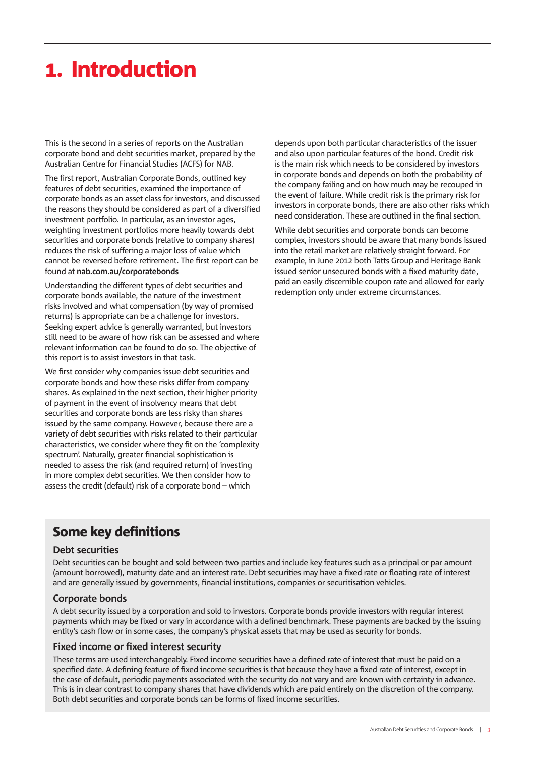### . Introduction

This is the second in a series of reports on the Australian corporate bond and debt securities market, prepared by the Australian Centre for Financial Studies (ACFS) for NAB.

The first report, Australian Corporate Bonds, outlined key features of debt securities, examined the importance of corporate bonds as an asset class for investors, and discussed the reasons they should be considered as part of a diversified investment portfolio. In particular, as an investor ages, weighting investment portfolios more heavily towards debt securities and corporate bonds (relative to company shares) reduces the risk of suffering a major loss of value which cannot be reversed before retirement. The first report can be found at **nab.com.au/corporatebonds**

Understanding the different types of debt securities and corporate bonds available, the nature of the investment risks involved and what compensation (by way of promised returns) is appropriate can be a challenge for investors. Seeking expert advice is generally warranted, but investors still need to be aware of how risk can be assessed and where relevant information can be found to do so. The objective of this report is to assist investors in that task.

We first consider why companies issue debt securities and corporate bonds and how these risks differ from company shares. As explained in the next section, their higher priority of payment in the event of insolvency means that debt securities and corporate bonds are less risky than shares issued by the same company. However, because there are a variety of debt securities with risks related to their particular characteristics, we consider where they fit on the 'complexity spectrum'. Naturally, greater financial sophistication is needed to assess the risk (and required return) of investing in more complex debt securities. We then consider how to assess the credit (default) risk of a corporate bond – which

depends upon both particular characteristics of the issuer and also upon particular features of the bond. Credit risk is the main risk which needs to be considered by investors in corporate bonds and depends on both the probability of the company failing and on how much may be recouped in the event of failure. While credit risk is the primary risk for investors in corporate bonds, there are also other risks which need consideration. These are outlined in the final section.

While debt securities and corporate bonds can become complex, investors should be aware that many bonds issued into the retail market are relatively straight forward. For example, in June 2012 both Tatts Group and Heritage Bank issued senior unsecured bonds with a fixed maturity date, paid an easily discernible coupon rate and allowed for early redemption only under extreme circumstances.

### Some key definitions

#### **Debt securities**

Debt securities can be bought and sold between two parties and include key features such as a principal or par amount (amount borrowed), maturity date and an interest rate. Debt securities may have a fixed rate or floating rate of interest and are generally issued by governments, financial institutions, companies or securitisation vehicles.

#### **Corporate bonds**

A debt security issued by a corporation and sold to investors. Corporate bonds provide investors with regular interest payments which may be fixed or vary in accordance with a defined benchmark. These payments are backed by the issuing entity's cash flow or in some cases, the company's physical assets that may be used as security for bonds.

#### **Fixed income or fixed interest security**

These terms are used interchangeably. Fixed income securities have a defined rate of interest that must be paid on a specified date. A defining feature of fixed income securities is that because they have a fixed rate of interest, except in the case of default, periodic payments associated with the security do not vary and are known with certainty in advance. This is in clear contrast to company shares that have dividends which are paid entirely on the discretion of the company. Both debt securities and corporate bonds can be forms of fixed income securities.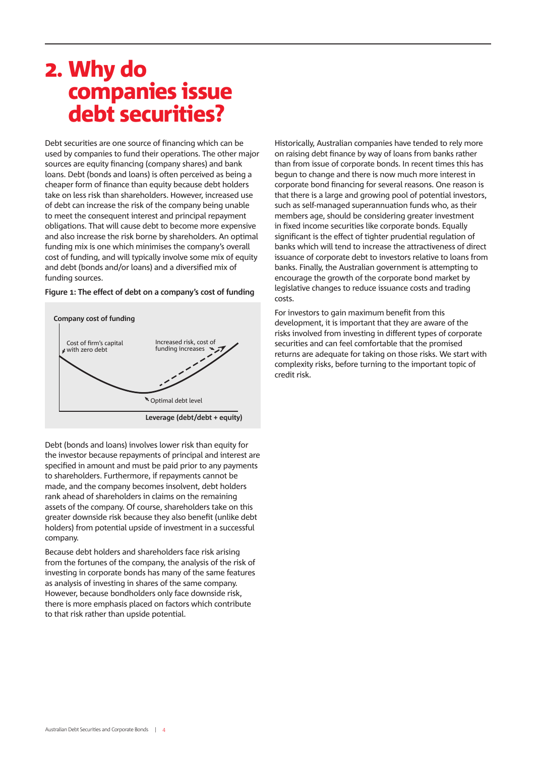### . Why do companies issue debt securities?

Debt securities are one source of financing which can be used by companies to fund their operations. The other major sources are equity financing (company shares) and bank loans. Debt (bonds and loans) is often perceived as being a cheaper form of finance than equity because debt holders take on less risk than shareholders. However, increased use of debt can increase the risk of the company being unable to meet the consequent interest and principal repayment obligations. That will cause debt to become more expensive and also increase the risk borne by shareholders. An optimal funding mix is one which minimises the company's overall cost of funding, and will typically involve some mix of equity and debt (bonds and/or loans) and a diversified mix of funding sources.

#### Figure 1: The effect of debt on a company's cost of funding



Debt (bonds and loans) involves lower risk than equity for the investor because repayments of principal and interest are specified in amount and must be paid prior to any payments to shareholders. Furthermore, if repayments cannot be made, and the company becomes insolvent, debt holders rank ahead of shareholders in claims on the remaining assets of the company. Of course, shareholders take on this greater downside risk because they also benefit (unlike debt holders) from potential upside of investment in a successful company.

Because debt holders and shareholders face risk arising from the fortunes of the company, the analysis of the risk of investing in corporate bonds has many of the same features as analysis of investing in shares of the same company. However, because bondholders only face downside risk, there is more emphasis placed on factors which contribute to that risk rather than upside potential.

Historically, Australian companies have tended to rely more on raising debt finance by way of loans from banks rather than from issue of corporate bonds. In recent times this has begun to change and there is now much more interest in corporate bond financing for several reasons. One reason is that there is a large and growing pool of potential investors, such as self-managed superannuation funds who, as their members age, should be considering greater investment in fixed income securities like corporate bonds. Equally significant is the effect of tighter prudential regulation of banks which will tend to increase the attractiveness of direct issuance of corporate debt to investors relative to loans from banks. Finally, the Australian government is attempting to encourage the growth of the corporate bond market by legislative changes to reduce issuance costs and trading costs.

For investors to gain maximum benefit from this development, it is important that they are aware of the risks involved from investing in different types of corporate securities and can feel comfortable that the promised returns are adequate for taking on those risks. We start with complexity risks, before turning to the important topic of credit risk.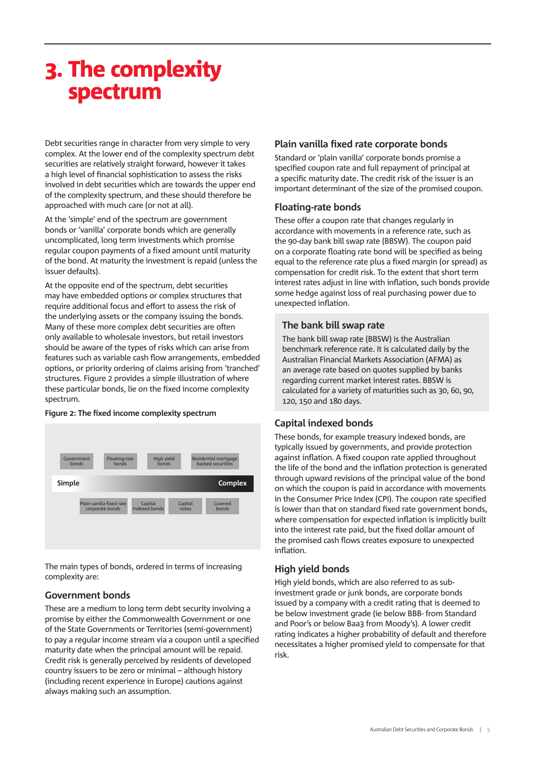### . The complexity spectrum

Debt securities range in character from very simple to very complex. At the lower end of the complexity spectrum debt securities are relatively straight forward, however it takes a high level of financial sophistication to assess the risks involved in debt securities which are towards the upper end of the complexity spectrum, and these should therefore be approached with much care (or not at all).

At the 'simple' end of the spectrum are government bonds or 'vanilla' corporate bonds which are generally uncomplicated, long term investments which promise regular coupon payments of a fixed amount until maturity of the bond. At maturity the investment is repaid (unless the issuer defaults).

At the opposite end of the spectrum, debt securities may have embedded options or complex structures that require additional focus and effort to assess the risk of the underlying assets or the company issuing the bonds. Many of these more complex debt securities are often only available to wholesale investors, but retail investors should be aware of the types of risks which can arise from features such as variable cash flow arrangements, embedded options, or priority ordering of claims arising from 'tranched' structures. Figure 2 provides a simple illustration of where these particular bonds, lie on the fixed income complexity spectrum.

#### Figure 2: The fixed income complexity spectrum



The main types of bonds, ordered in terms of increasing complexity are:

#### **Government bonds**

These are a medium to long term debt security involving a promise by either the Commonwealth Government or one of the State Governments or Territories (semi-government) to pay a regular income stream via a coupon until a specified maturity date when the principal amount will be repaid. Credit risk is generally perceived by residents of developed country issuers to be zero or minimal – although history (including recent experience in Europe) cautions against always making such an assumption.

#### **Plain vanilla fixed rate corporate bonds**

Standard or 'plain vanilla' corporate bonds promise a specified coupon rate and full repayment of principal at a specific maturity date. The credit risk of the issuer is an important determinant of the size of the promised coupon.

#### **Floating-rate bonds**

These offer a coupon rate that changes regularly in accordance with movements in a reference rate, such as the 90-day bank bill swap rate (BBSW). The coupon paid on a corporate floating rate bond will be specified as being equal to the reference rate plus a fixed margin (or spread) as compensation for credit risk. To the extent that short term interest rates adjust in line with inflation, such bonds provide some hedge against loss of real purchasing power due to unexpected inflation.

#### **The bank bill swap rate**

The bank bill swap rate (BBSW) is the Australian benchmark reference rate. It is calculated daily by the Australian Financial Markets Association (AFMA) as an average rate based on quotes supplied by banks regarding current market interest rates. BBSW is calculated for a variety of maturities such as 30, 60, 90, 120, 150 and 180 days.

#### **Capital indexed bonds**

These bonds, for example treasury indexed bonds, are typically issued by governments, and provide protection against inflation. A fixed coupon rate applied throughout the life of the bond and the inflation protection is generated through upward revisions of the principal value of the bond on which the coupon is paid in accordance with movements in the Consumer Price Index (CPI). The coupon rate specified is lower than that on standard fixed rate government bonds, where compensation for expected inflation is implicitly built into the interest rate paid, but the fixed dollar amount of the promised cash flows creates exposure to unexpected inflation.

#### **High yield bonds**

High yield bonds, which are also referred to as subinvestment grade or junk bonds, are corporate bonds issued by a company with a credit rating that is deemed to be below investment grade (ie below BBB- from Standard and Poor's or below Baa3 from Moody's). A lower credit rating indicates a higher probability of default and therefore necessitates a higher promised yield to compensate for that risk.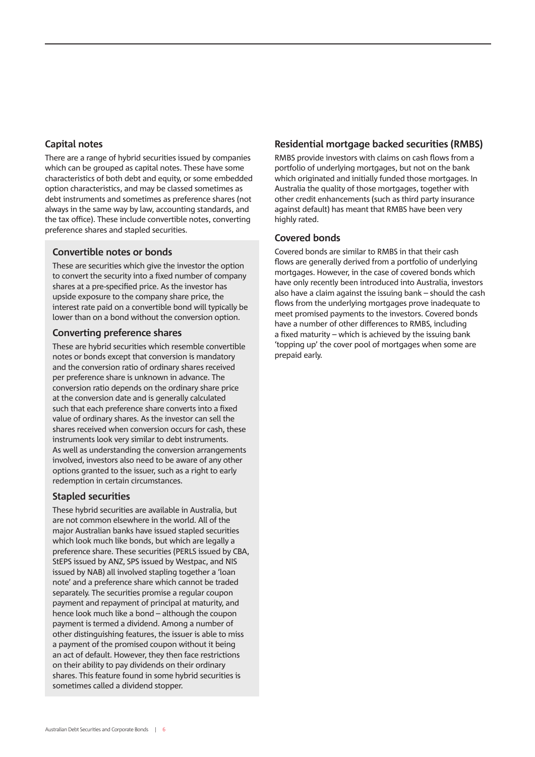#### **Capital notes**

There are a range of hybrid securities issued by companies which can be grouped as capital notes. These have some characteristics of both debt and equity, or some embedded option characteristics, and may be classed sometimes as debt instruments and sometimes as preference shares (not always in the same way by law, accounting standards, and the tax office). These include convertible notes, converting preference shares and stapled securities.

#### **Convertible notes or bonds**

These are securities which give the investor the option to convert the security into a fixed number of company shares at a pre-specified price. As the investor has upside exposure to the company share price, the interest rate paid on a convertible bond will typically be lower than on a bond without the conversion option.

#### **Converting preference shares**

These are hybrid securities which resemble convertible notes or bonds except that conversion is mandatory and the conversion ratio of ordinary shares received per preference share is unknown in advance. The conversion ratio depends on the ordinary share price at the conversion date and is generally calculated such that each preference share converts into a fixed value of ordinary shares. As the investor can sell the shares received when conversion occurs for cash, these instruments look very similar to debt instruments. As well as understanding the conversion arrangements involved, investors also need to be aware of any other options granted to the issuer, such as a right to early redemption in certain circumstances.

#### **Stapled securities**

These hybrid securities are available in Australia, but are not common elsewhere in the world. All of the major Australian banks have issued stapled securities which look much like bonds, but which are legally a preference share. These securities (PERLS issued by CBA, StEPS issued by ANZ, SPS issued by Westpac, and NIS issued by NAB) all involved stapling together a 'loan note' and a preference share which cannot be traded separately. The securities promise a regular coupon payment and repayment of principal at maturity, and hence look much like a bond – although the coupon payment is termed a dividend. Among a number of other distinguishing features, the issuer is able to miss a payment of the promised coupon without it being an act of default. However, they then face restrictions on their ability to pay dividends on their ordinary shares. This feature found in some hybrid securities is sometimes called a dividend stopper.

#### **Residential mortgage backed securities (RMBS)**

RMBS provide investors with claims on cash flows from a portfolio of underlying mortgages, but not on the bank which originated and initially funded those mortgages. In Australia the quality of those mortgages, together with other credit enhancements (such as third party insurance against default) has meant that RMBS have been very highly rated.

#### **Covered bonds**

Covered bonds are similar to RMBS in that their cash flows are generally derived from a portfolio of underlying mortgages. However, in the case of covered bonds which have only recently been introduced into Australia, investors also have a claim against the issuing bank – should the cash flows from the underlying mortgages prove inadequate to meet promised payments to the investors. Covered bonds have a number of other differences to RMBS, including a fixed maturity – which is achieved by the issuing bank 'topping up' the cover pool of mortgages when some are prepaid early.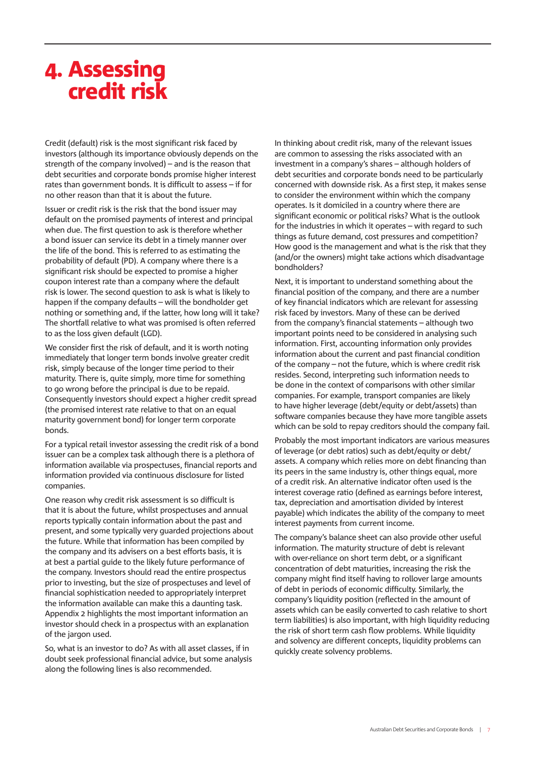### . Assessing credit risk

Credit (default) risk is the most significant risk faced by investors (although its importance obviously depends on the strength of the company involved) – and is the reason that debt securities and corporate bonds promise higher interest rates than government bonds. It is difficult to assess – if for no other reason than that it is about the future.

Issuer or credit risk is the risk that the bond issuer may default on the promised payments of interest and principal when due. The first question to ask is therefore whether a bond issuer can service its debt in a timely manner over the life of the bond. This is referred to as estimating the probability of default (PD). A company where there is a significant risk should be expected to promise a higher coupon interest rate than a company where the default risk is lower. The second question to ask is what is likely to happen if the company defaults – will the bondholder get nothing or something and, if the latter, how long will it take? The shortfall relative to what was promised is often referred to as the loss given default (LGD).

We consider first the risk of default, and it is worth noting immediately that longer term bonds involve greater credit risk, simply because of the longer time period to their maturity. There is, quite simply, more time for something to go wrong before the principal is due to be repaid. Consequently investors should expect a higher credit spread (the promised interest rate relative to that on an equal maturity government bond) for longer term corporate bonds.

For a typical retail investor assessing the credit risk of a bond issuer can be a complex task although there is a plethora of information available via prospectuses, financial reports and information provided via continuous disclosure for listed companies.

One reason why credit risk assessment is so difficult is that it is about the future, whilst prospectuses and annual reports typically contain information about the past and present, and some typically very guarded projections about the future. While that information has been compiled by the company and its advisers on a best efforts basis, it is at best a partial guide to the likely future performance of the company. Investors should read the entire prospectus prior to investing, but the size of prospectuses and level of financial sophistication needed to appropriately interpret the information available can make this a daunting task. Appendix 2 highlights the most important information an investor should check in a prospectus with an explanation of the jargon used.

So, what is an investor to do? As with all asset classes, if in doubt seek professional financial advice, but some analysis along the following lines is also recommended.

In thinking about credit risk, many of the relevant issues are common to assessing the risks associated with an investment in a company's shares – although holders of debt securities and corporate bonds need to be particularly concerned with downside risk. As a first step, it makes sense to consider the environment within which the company operates. Is it domiciled in a country where there are significant economic or political risks? What is the outlook for the industries in which it operates – with regard to such things as future demand, cost pressures and competition? How good is the management and what is the risk that they (and/or the owners) might take actions which disadvantage bondholders?

Next, it is important to understand something about the financial position of the company, and there are a number of key financial indicators which are relevant for assessing risk faced by investors. Many of these can be derived from the company's financial statements – although two important points need to be considered in analysing such information. First, accounting information only provides information about the current and past financial condition of the company – not the future, which is where credit risk resides. Second, interpreting such information needs to be done in the context of comparisons with other similar companies. For example, transport companies are likely to have higher leverage (debt/equity or debt/assets) than software companies because they have more tangible assets which can be sold to repay creditors should the company fail.

Probably the most important indicators are various measures of leverage (or debt ratios) such as debt/equity or debt/ assets. A company which relies more on debt financing than its peers in the same industry is, other things equal, more of a credit risk. An alternative indicator often used is the interest coverage ratio (defined as earnings before interest, tax, depreciation and amortisation divided by interest payable) which indicates the ability of the company to meet interest payments from current income.

The company's balance sheet can also provide other useful information. The maturity structure of debt is relevant with over-reliance on short term debt, or a significant concentration of debt maturities, increasing the risk the company might find itself having to rollover large amounts of debt in periods of economic difficulty. Similarly, the company's liquidity position (reflected in the amount of assets which can be easily converted to cash relative to short term liabilities) is also important, with high liquidity reducing the risk of short term cash flow problems. While liquidity and solvency are different concepts, liquidity problems can quickly create solvency problems.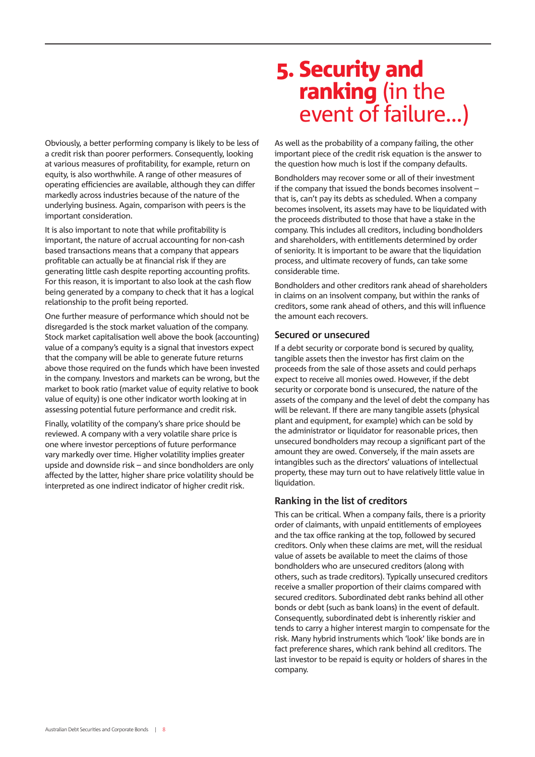Obviously, a better performing company is likely to be less of a credit risk than poorer performers. Consequently, looking at various measures of profitability, for example, return on equity, is also worthwhile. A range of other measures of operating efficiencies are available, although they can differ markedly across industries because of the nature of the underlying business. Again, comparison with peers is the important consideration.

It is also important to note that while profitability is important, the nature of accrual accounting for non-cash based transactions means that a company that appears profitable can actually be at financial risk if they are generating little cash despite reporting accounting profits. For this reason, it is important to also look at the cash flow being generated by a company to check that it has a logical relationship to the profit being reported.

One further measure of performance which should not be disregarded is the stock market valuation of the company. Stock market capitalisation well above the book (accounting) value of a company's equity is a signal that investors expect that the company will be able to generate future returns above those required on the funds which have been invested in the company. Investors and markets can be wrong, but the market to book ratio (market value of equity relative to book value of equity) is one other indicator worth looking at in assessing potential future performance and credit risk.

Finally, volatility of the company's share price should be reviewed. A company with a very volatile share price is one where investor perceptions of future performance vary markedly over time. Higher volatility implies greater upside and downside risk – and since bondholders are only affected by the latter, higher share price volatility should be interpreted as one indirect indicator of higher credit risk.

### . Security and **ranking** (in the event of failure…)

As well as the probability of a company failing, the other important piece of the credit risk equation is the answer to the question how much is lost if the company defaults.

Bondholders may recover some or all of their investment if the company that issued the bonds becomes insolvent – that is, can't pay its debts as scheduled. When a company becomes insolvent, its assets may have to be liquidated with the proceeds distributed to those that have a stake in the company. This includes all creditors, including bondholders and shareholders, with entitlements determined by order of seniority. It is important to be aware that the liquidation process, and ultimate recovery of funds, can take some considerable time.

Bondholders and other creditors rank ahead of shareholders in claims on an insolvent company, but within the ranks of creditors, some rank ahead of others, and this will influence the amount each recovers.

#### **Secured or unsecured**

If a debt security or corporate bond is secured by quality, tangible assets then the investor has first claim on the proceeds from the sale of those assets and could perhaps expect to receive all monies owed. However, if the debt security or corporate bond is unsecured, the nature of the assets of the company and the level of debt the company has will be relevant. If there are many tangible assets (physical plant and equipment, for example) which can be sold by the administrator or liquidator for reasonable prices, then unsecured bondholders may recoup a significant part of the amount they are owed. Conversely, if the main assets are intangibles such as the directors' valuations of intellectual property, these may turn out to have relatively little value in liquidation.

#### **Ranking in the list of creditors**

This can be critical. When a company fails, there is a priority order of claimants, with unpaid entitlements of employees and the tax office ranking at the top, followed by secured creditors. Only when these claims are met, will the residual value of assets be available to meet the claims of those bondholders who are unsecured creditors (along with others, such as trade creditors). Typically unsecured creditors receive a smaller proportion of their claims compared with secured creditors. Subordinated debt ranks behind all other bonds or debt (such as bank loans) in the event of default. Consequently, subordinated debt is inherently riskier and tends to carry a higher interest margin to compensate for the risk. Many hybrid instruments which 'look' like bonds are in fact preference shares, which rank behind all creditors. The last investor to be repaid is equity or holders of shares in the company.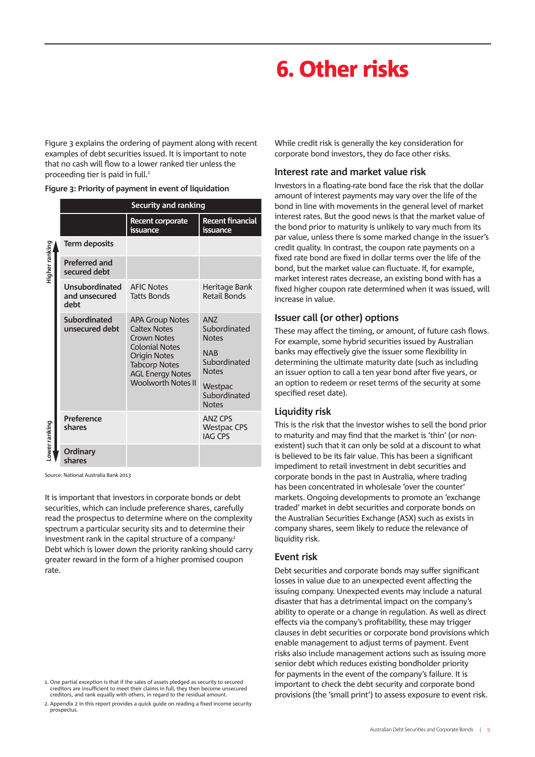## . Other risks

Figure 3 explains the ordering of payment along with recent examples of debt securities issued. It is important to note that no cash will flow to a lower ranked tier unless the proceeding tier is paid in full.

|  |  |  |  |  |  | Figure 3: Priority of payment in event of liquidation |
|--|--|--|--|--|--|-------------------------------------------------------|
|--|--|--|--|--|--|-------------------------------------------------------|

|                                                                                                                                                                                                                                                                                                                                                                                                                                                           | <b>Security and ranking</b>             |                                                                                                                     |                                                          |  |  |  |  |  |
|-----------------------------------------------------------------------------------------------------------------------------------------------------------------------------------------------------------------------------------------------------------------------------------------------------------------------------------------------------------------------------------------------------------------------------------------------------------|-----------------------------------------|---------------------------------------------------------------------------------------------------------------------|----------------------------------------------------------|--|--|--|--|--|
|                                                                                                                                                                                                                                                                                                                                                                                                                                                           |                                         | <b>Recent corporate</b><br>issuance                                                                                 | Recent financial<br>issuance                             |  |  |  |  |  |
|                                                                                                                                                                                                                                                                                                                                                                                                                                                           | <b>Term deposits</b>                    |                                                                                                                     |                                                          |  |  |  |  |  |
| Higher ranking                                                                                                                                                                                                                                                                                                                                                                                                                                            | <b>Preferred and</b><br>secured debt    |                                                                                                                     |                                                          |  |  |  |  |  |
|                                                                                                                                                                                                                                                                                                                                                                                                                                                           | Unsubordinated<br>and unsecured<br>debt | <b>AFIC Notes</b><br><b>Tatts Bonds</b>                                                                             | Heritage Bank<br><b>Retail Bonds</b>                     |  |  |  |  |  |
|                                                                                                                                                                                                                                                                                                                                                                                                                                                           | Subordinated<br>unsecured debt          | <b>APA Group Notes</b><br><b>Caltex Notes</b><br><b>Crown Notes</b><br><b>Colonial Notes</b><br><b>Origin Notes</b> | <b>ANZ</b><br>Subordinated<br><b>Notes</b><br><b>NAB</b> |  |  |  |  |  |
|                                                                                                                                                                                                                                                                                                                                                                                                                                                           |                                         | <b>Tabcorp Notes</b><br><b>AGL Energy Notes</b>                                                                     | Subordinated<br><b>Notes</b>                             |  |  |  |  |  |
|                                                                                                                                                                                                                                                                                                                                                                                                                                                           |                                         | <b>Woolworth Notes II</b>                                                                                           | Westpac<br>Subordinated<br><b>Notes</b>                  |  |  |  |  |  |
| ower ranking                                                                                                                                                                                                                                                                                                                                                                                                                                              | Preference<br>shares                    |                                                                                                                     | <b>ANZ CPS</b><br><b>Westpac CPS</b><br><b>IAG CPS</b>   |  |  |  |  |  |
|                                                                                                                                                                                                                                                                                                                                                                                                                                                           | <b>Ordinary</b><br>shares               |                                                                                                                     |                                                          |  |  |  |  |  |
|                                                                                                                                                                                                                                                                                                                                                                                                                                                           | Source: National Australia Bank 2013    |                                                                                                                     |                                                          |  |  |  |  |  |
| It is important that investors in corporate bonds or debt<br>securities, which can include preference shares, carefully<br>read the prospectus to determine where on the complexity<br>spectrum a particular security sits and to determine their<br>investment rank in the capital structure of a company. <sup>2</sup><br>Debt which is lower down the priority ranking should carry<br>greater reward in the form of a higher promised coupon<br>rate. |                                         |                                                                                                                     |                                                          |  |  |  |  |  |
|                                                                                                                                                                                                                                                                                                                                                                                                                                                           |                                         |                                                                                                                     |                                                          |  |  |  |  |  |
|                                                                                                                                                                                                                                                                                                                                                                                                                                                           |                                         |                                                                                                                     |                                                          |  |  |  |  |  |
| 1. One partial exception is that if the sales of assets pledged as security to secured<br>creditors are insufficient to meet their claims in full, they then become unsecured<br>creditors, and rank equally with others, in regard to the residual amount.<br>2. Appendix 2 in this report provides a quick quide on reading a fixed income security<br>prospectus.                                                                                      |                                         |                                                                                                                     |                                                          |  |  |  |  |  |

While credit risk is generally the key consideration for corporate bond investors, they do face other risks.

#### **Interest rate and market value risk**

Investors in a floating-rate bond face the risk that the dollar amount of interest payments may vary over the life of the bond in line with movements in the general level of market interest rates. But the good news is that the market value of the bond prior to maturity is unlikely to vary much from its par value, unless there is some marked change in the issuer's credit quality. In contrast, the coupon rate payments on a fixed rate bond are fixed in dollar terms over the life of the bond, but the market value can fluctuate. If, for example, market interest rates decrease, an existing bond with has a fixed higher coupon rate determined when it was issued, will increase in value.

#### **Issuer call (or other) options**

These may affect the timing, or amount, of future cash flows. For example, some hybrid securities issued by Australian banks may effectively give the issuer some flexibility in determining the ultimate maturity date (such as including an issuer option to call a ten year bond after five years, or an option to redeem or reset terms of the security at some specified reset date).

#### **Liquidity risk**

This is the risk that the investor wishes to sell the bond prior to maturity and may find that the market is 'thin' (or nonexistent) such that it can only be sold at a discount to what is believed to be its fair value. This has been a significant impediment to retail investment in debt securities and corporate bonds in the past in Australia, where trading has been concentrated in wholesale 'over the counter' markets. Ongoing developments to promote an 'exchange traded' market in debt securities and corporate bonds on the Australian Securities Exchange (ASX) such as exists in company shares, seem likely to reduce the relevance of liquidity risk.

#### **Event risk**

Debt securities and corporate bonds may suffer significant losses in value due to an unexpected event affecting the issuing company. Unexpected events may include a natural disaster that has a detrimental impact on the company's ability to operate or a change in regulation. As well as direct effects via the company's profitability, these may trigger clauses in debt securities or corporate bond provisions which enable management to adjust terms of payment. Event risks also include management actions such as issuing more senior debt which reduces existing bondholder priority for payments in the event of the company's failure. It is important to check the debt security and corporate bond provisions (the 'small print') to assess exposure to event risk.

<sup>.</sup> One partial exception is that if the sales of assets pledged as security to secured creditors are insufficient to meet their claims in full, they then become unsecured creditors, and rank equally with others, in regard to the residual amount.

<sup>2.</sup> Appendix 2 in this report provides a quick guide on reading a fixed income security prospectus.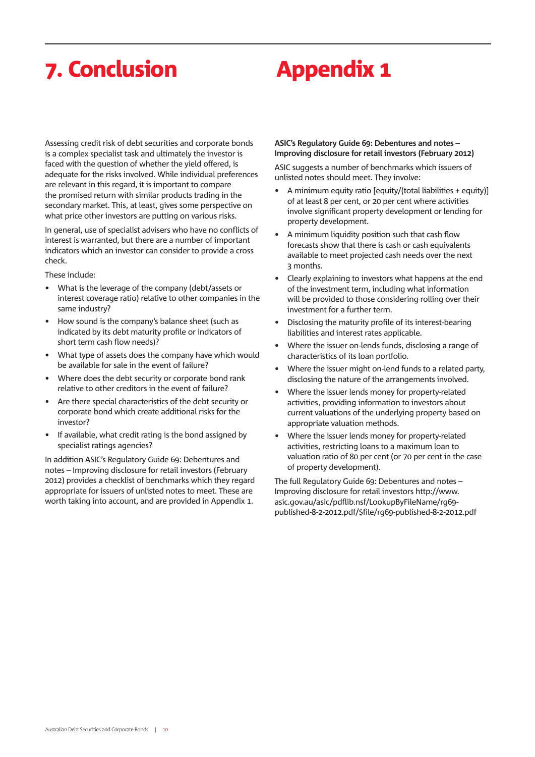## 7. Conclusion **Appendix 1**

Assessing credit risk of debt securities and corporate bonds is a complex specialist task and ultimately the investor is faced with the question of whether the yield offered, is adequate for the risks involved. While individual preferences are relevant in this regard, it is important to compare the promised return with similar products trading in the secondary market. This, at least, gives some perspective on what price other investors are putting on various risks.

In general, use of specialist advisers who have no conflicts of interest is warranted, but there are a number of important indicators which an investor can consider to provide a cross check.

These include:

- What is the leverage of the company (debt/assets or interest coverage ratio) relative to other companies in the same industry?
- How sound is the company's balance sheet (such as indicated by its debt maturity profile or indicators of short term cash flow needs)?
- What type of assets does the company have which would be available for sale in the event of failure?
- Where does the debt security or corporate bond rank relative to other creditors in the event of failure?
- Are there special characteristics of the debt security or corporate bond which create additional risks for the investor?
- If available, what credit rating is the bond assigned by specialist ratings agencies?

In addition ASIC's Regulatory Guide 69: Debentures and notes – Improving disclosure for retail investors (February ) provides a checklist of benchmarks which they regard appropriate for issuers of unlisted notes to meet. These are worth taking into account, and are provided in Appendix 1.

#### ASIC's Regulatory Guide 69: Debentures and notes -**Improving disclosure for retail investors (February 2012)**

ASIC suggests a number of benchmarks which issuers of unlisted notes should meet. They involve:

- A minimum equity ratio [equity/(total liabilities + equity)] of at least 8 per cent, or 20 per cent where activities involve significant property development or lending for property development.
- A minimum liquidity position such that cash flow forecasts show that there is cash or cash equivalents available to meet projected cash needs over the next months.
- Clearly explaining to investors what happens at the end of the investment term, including what information will be provided to those considering rolling over their investment for a further term.
- Disclosing the maturity profile of its interest-bearing liabilities and interest rates applicable.
- Where the issuer on-lends funds, disclosing a range of characteristics of its loan portfolio.
- Where the issuer might on-lend funds to a related party, disclosing the nature of the arrangements involved.
- Where the issuer lends money for property-related activities, providing information to investors about current valuations of the underlying property based on appropriate valuation methods.
- Where the issuer lends money for property-related activities, restricting loans to a maximum loan to valuation ratio of 80 per cent (or 70 per cent in the case of property development).

The full Regulatory Guide 69: Debentures and notes  $-$ Improving disclosure for retail investors http://www. asic.gov.au/asic/pdflib.nsf/LookupByFileName/rg69published-8-2-2012.pdf/\$file/rg69-published-8-2-2012.pdf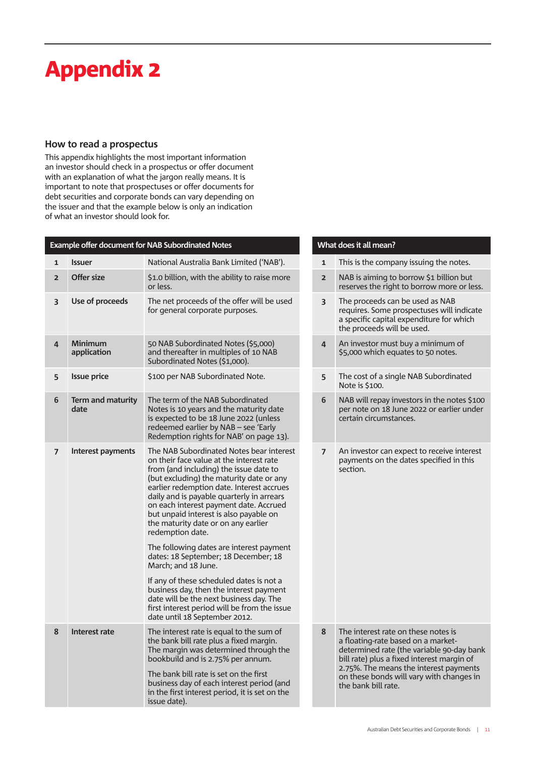## Appendix

#### **How to read a prospectus**

This appendix highlights the most important information an investor should check in a prospectus or offer document with an explanation of what the jargon really means. It is important to note that prospectuses or offer documents for debt securities and corporate bonds can vary depending on the issuer and that the example below is only an indication of what an investor should look for.

| Example offer document for NAB Subordinated Notes |                               | What does it all mean?                                                                                                                                                                                                                                                                                                                                                                                                                                                                                                                                                                                                                                                                                                                            |                         |                                                                                                                                                                                                                                                                                   |
|---------------------------------------------------|-------------------------------|---------------------------------------------------------------------------------------------------------------------------------------------------------------------------------------------------------------------------------------------------------------------------------------------------------------------------------------------------------------------------------------------------------------------------------------------------------------------------------------------------------------------------------------------------------------------------------------------------------------------------------------------------------------------------------------------------------------------------------------------------|-------------------------|-----------------------------------------------------------------------------------------------------------------------------------------------------------------------------------------------------------------------------------------------------------------------------------|
| $\mathbf{1}$                                      | <b>Issuer</b>                 | National Australia Bank Limited ('NAB').                                                                                                                                                                                                                                                                                                                                                                                                                                                                                                                                                                                                                                                                                                          | $\mathbf{1}$            | This is the company issuing the notes.                                                                                                                                                                                                                                            |
| $\overline{2}$                                    | Offer size                    | \$1.0 billion, with the ability to raise more<br>or less.                                                                                                                                                                                                                                                                                                                                                                                                                                                                                                                                                                                                                                                                                         | $\overline{2}$          | NAB is aiming to borrow \$1 billion but<br>reserves the right to borrow more or less.                                                                                                                                                                                             |
| 3                                                 | Use of proceeds               | The net proceeds of the offer will be used<br>for general corporate purposes.                                                                                                                                                                                                                                                                                                                                                                                                                                                                                                                                                                                                                                                                     | $\overline{\mathbf{3}}$ | The proceeds can be used as NAB<br>requires. Some prospectuses will indicate<br>a specific capital expenditure for which<br>the proceeds will be used.                                                                                                                            |
| 4                                                 | <b>Minimum</b><br>application | 50 NAB Subordinated Notes (\$5,000)<br>and thereafter in multiples of 10 NAB<br>Subordinated Notes (\$1,000).                                                                                                                                                                                                                                                                                                                                                                                                                                                                                                                                                                                                                                     | $\overline{4}$          | An investor must buy a minimum of<br>\$5,000 which equates to 50 notes.                                                                                                                                                                                                           |
| 5                                                 | <b>Issue price</b>            | \$100 per NAB Subordinated Note.                                                                                                                                                                                                                                                                                                                                                                                                                                                                                                                                                                                                                                                                                                                  | 5                       | The cost of a single NAB Subordinated<br>Note is \$100.                                                                                                                                                                                                                           |
| 6                                                 | Term and maturity<br>date     | The term of the NAB Subordinated<br>Notes is 10 years and the maturity date<br>is expected to be 18 June 2022 (unless<br>redeemed earlier by NAB - see 'Early<br>Redemption rights for NAB' on page 13).                                                                                                                                                                                                                                                                                                                                                                                                                                                                                                                                          | 6                       | NAB will repay investors in the notes \$100<br>per note on 18 June 2022 or earlier under<br>certain circumstances.                                                                                                                                                                |
| $\overline{\phantom{a}}$                          | Interest payments             | The NAB Subordinated Notes bear interest<br>on their face value at the interest rate<br>from (and including) the issue date to<br>(but excluding) the maturity date or any<br>earlier redemption date. Interest accrues<br>daily and is payable quarterly in arrears<br>on each interest payment date. Accrued<br>but unpaid interest is also payable on<br>the maturity date or on any earlier<br>redemption date.<br>The following dates are interest payment<br>dates: 18 September; 18 December; 18<br>March; and 18 June.<br>If any of these scheduled dates is not a<br>business day, then the interest payment<br>date will be the next business day. The<br>first interest period will be from the issue<br>date until 18 September 2012. | $\overline{7}$          | An investor can expect to receive interest<br>payments on the dates specified in this<br>section.                                                                                                                                                                                 |
| 8                                                 | Interest rate                 | The interest rate is equal to the sum of<br>the bank bill rate plus a fixed margin.<br>The margin was determined through the<br>bookbuild and is 2.75% per annum.<br>The bank bill rate is set on the first<br>business day of each interest period (and<br>in the first interest period, it is set on the<br>issue date).                                                                                                                                                                                                                                                                                                                                                                                                                        | 8                       | The interest rate on these notes is<br>a floating-rate based on a market-<br>determined rate (the variable 90-day bank<br>bill rate) plus a fixed interest margin of<br>2.75%. The means the interest payments<br>on these bonds will vary with changes in<br>the bank bill rate. |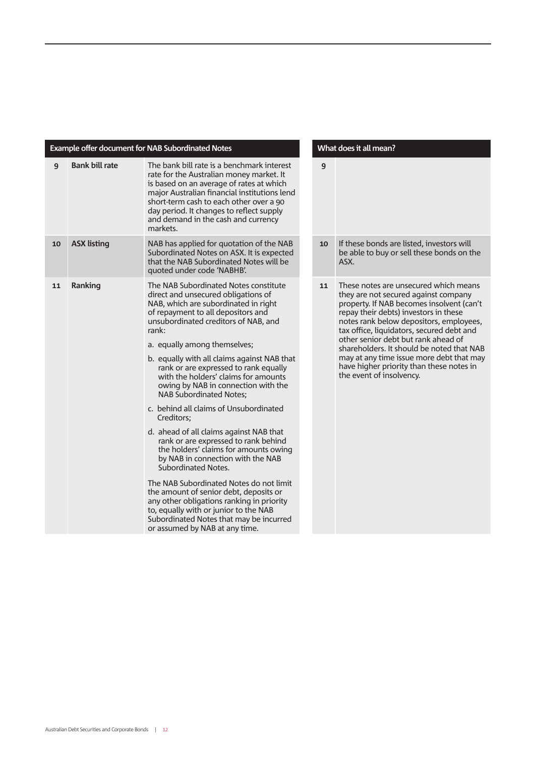| Example offer document for NAB Subordinated Notes |                       | What does it all mean?                                                                                                                                                                                                                                                                                                                                                                                                                                                                                                                                                                                                                                                                                                                                                                                                                                                                                                                                       |    |                                                                                                                                                                                                                                                                                                                                                                                                                                                                     |
|---------------------------------------------------|-----------------------|--------------------------------------------------------------------------------------------------------------------------------------------------------------------------------------------------------------------------------------------------------------------------------------------------------------------------------------------------------------------------------------------------------------------------------------------------------------------------------------------------------------------------------------------------------------------------------------------------------------------------------------------------------------------------------------------------------------------------------------------------------------------------------------------------------------------------------------------------------------------------------------------------------------------------------------------------------------|----|---------------------------------------------------------------------------------------------------------------------------------------------------------------------------------------------------------------------------------------------------------------------------------------------------------------------------------------------------------------------------------------------------------------------------------------------------------------------|
| 9                                                 | <b>Bank bill rate</b> | The bank bill rate is a benchmark interest<br>rate for the Australian money market. It<br>is based on an average of rates at which<br>major Australian financial institutions lend<br>short-term cash to each other over a 90<br>day period. It changes to reflect supply<br>and demand in the cash and currency<br>markets.                                                                                                                                                                                                                                                                                                                                                                                                                                                                                                                                                                                                                                 | 9  |                                                                                                                                                                                                                                                                                                                                                                                                                                                                     |
| 10                                                | <b>ASX listing</b>    | NAB has applied for quotation of the NAB<br>Subordinated Notes on ASX. It is expected<br>that the NAB Subordinated Notes will be<br>quoted under code 'NABHB'.                                                                                                                                                                                                                                                                                                                                                                                                                                                                                                                                                                                                                                                                                                                                                                                               | 10 | If these bonds are listed, investors will<br>be able to buy or sell these bonds on the<br>ASX.                                                                                                                                                                                                                                                                                                                                                                      |
| 11                                                | Ranking               | The NAB Subordinated Notes constitute<br>direct and unsecured obligations of<br>NAB, which are subordinated in right<br>of repayment to all depositors and<br>unsubordinated creditors of NAB, and<br>rank:<br>a. equally among themselves;<br>b. equally with all claims against NAB that<br>rank or are expressed to rank equally<br>with the holders' claims for amounts<br>owing by NAB in connection with the<br><b>NAB Subordinated Notes:</b><br>c. behind all claims of Unsubordinated<br>Creditors;<br>d. ahead of all claims against NAB that<br>rank or are expressed to rank behind<br>the holders' claims for amounts owing<br>by NAB in connection with the NAB<br>Subordinated Notes.<br>The NAB Subordinated Notes do not limit<br>the amount of senior debt, deposits or<br>any other obligations ranking in priority<br>to, equally with or junior to the NAB<br>Subordinated Notes that may be incurred<br>or assumed by NAB at any time. | 11 | These notes are unsecured which means<br>they are not secured against company<br>property. If NAB becomes insolvent (can't<br>repay their debts) investors in these<br>notes rank below depositors, employees,<br>tax office, liquidators, secured debt and<br>other senior debt but rank ahead of<br>shareholders. It should be noted that NAB<br>may at any time issue more debt that may<br>have higher priority than these notes in<br>the event of insolvency. |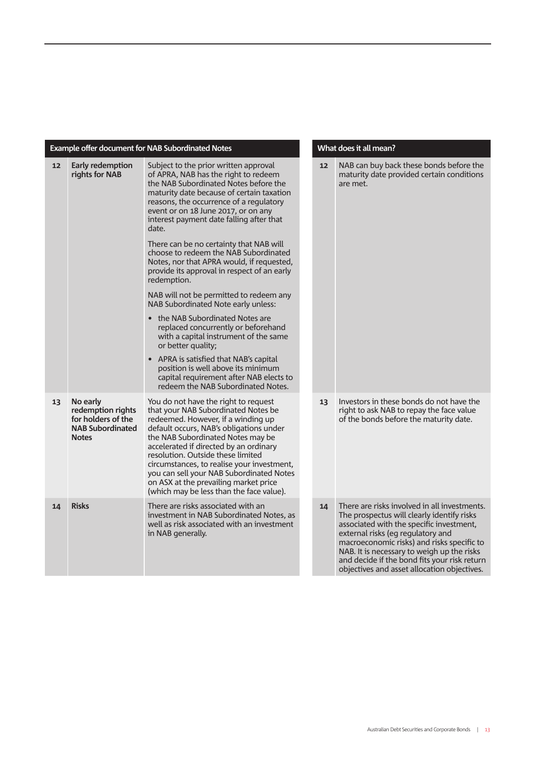#### **Example offer document for NAB Subordinated Notes What does it all mean?**

| 12 | Early redemption<br>rights for NAB                                                             | Subject to the prior written approval<br>of APRA, NAB has the right to redeem<br>the NAB Subordinated Notes before the<br>maturity date because of certain taxation<br>reasons, the occurrence of a regulatory<br>event or on 18 June 2017, or on any<br>interest payment date falling after that<br>date.<br>There can be no certainty that NAB will<br>choose to redeem the NAB Subordinated<br>Notes, nor that APRA would, if requested,<br>provide its approval in respect of an early<br>redemption.<br>NAB will not be permitted to redeem any<br>NAB Subordinated Note early unless:<br>• the NAB Subordinated Notes are<br>replaced concurrently or beforehand<br>with a capital instrument of the same<br>or better quality;<br>• APRA is satisfied that NAB's capital<br>position is well above its minimum<br>capital requirement after NAB elects to<br>redeem the NAB Subordinated Notes. | 12 | NAB can buy back these bonds before the<br>maturity date provided certain conditions<br>are met.                                                                                                                                                                                                                                                                       |
|----|------------------------------------------------------------------------------------------------|--------------------------------------------------------------------------------------------------------------------------------------------------------------------------------------------------------------------------------------------------------------------------------------------------------------------------------------------------------------------------------------------------------------------------------------------------------------------------------------------------------------------------------------------------------------------------------------------------------------------------------------------------------------------------------------------------------------------------------------------------------------------------------------------------------------------------------------------------------------------------------------------------------|----|------------------------------------------------------------------------------------------------------------------------------------------------------------------------------------------------------------------------------------------------------------------------------------------------------------------------------------------------------------------------|
| 13 | No early<br>redemption rights<br>for holders of the<br><b>NAB Subordinated</b><br><b>Notes</b> | You do not have the right to request<br>that your NAB Subordinated Notes be<br>redeemed. However, if a winding up<br>default occurs, NAB's obligations under<br>the NAB Subordinated Notes may be<br>accelerated if directed by an ordinary<br>resolution. Outside these limited<br>circumstances, to realise your investment,<br>you can sell your NAB Subordinated Notes<br>on ASX at the prevailing market price<br>(which may be less than the face value).                                                                                                                                                                                                                                                                                                                                                                                                                                        | 13 | Investors in these bonds do not have the<br>right to ask NAB to repay the face value<br>of the bonds before the maturity date.                                                                                                                                                                                                                                         |
| 14 | <b>Risks</b>                                                                                   | There are risks associated with an<br>investment in NAB Subordinated Notes, as<br>well as risk associated with an investment<br>in NAB generally.                                                                                                                                                                                                                                                                                                                                                                                                                                                                                                                                                                                                                                                                                                                                                      | 14 | There are risks involved in all investments.<br>The prospectus will clearly identify risks<br>associated with the specific investment,<br>external risks (eg regulatory and<br>macroeconomic risks) and risks specific to<br>NAB. It is necessary to weigh up the risks<br>and decide if the bond fits your risk return<br>objectives and asset allocation objectives. |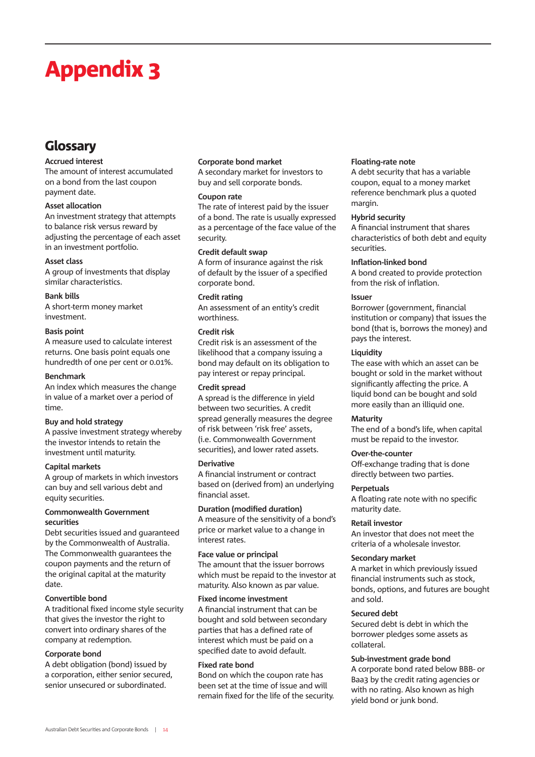## Appendix

### Glossary

#### **Accrued interest**

The amount of interest accumulated on a bond from the last coupon payment date.

#### **Asset allocation**

An investment strategy that attempts to balance risk versus reward by adjusting the percentage of each asset in an investment portfolio.

#### **Asset class**

A group of investments that display similar characteristics.

#### **Bank bills**

A short-term money market investment.

#### **Basis point**

A measure used to calculate interest returns. One basis point equals one hundredth of one per cent or 0.01%.

#### **Benchmark**

An index which measures the change in value of a market over a period of time.

#### **Buy and hold strategy**

A passive investment strategy whereby the investor intends to retain the investment until maturity.

#### **Capital markets**

A group of markets in which investors can buy and sell various debt and equity securities.

#### **Commonwealth Government securities**

Debt securities issued and guaranteed by the Commonwealth of Australia. The Commonwealth guarantees the coupon payments and the return of the original capital at the maturity date.

#### **Convertible bond**

A traditional fixed income style security that gives the investor the right to convert into ordinary shares of the company at redemption.

#### **Corporate bond**

A debt obligation (bond) issued by a corporation, either senior secured, senior unsecured or subordinated.

#### **Corporate bond market**

A secondary market for investors to buy and sell corporate bonds.

#### **Coupon rate**

The rate of interest paid by the issuer of a bond. The rate is usually expressed as a percentage of the face value of the security.

#### **Credit default swap**

A form of insurance against the risk of default by the issuer of a specified corporate bond.

#### **Credit rating**

An assessment of an entity's credit worthiness.

#### **Credit risk**

Credit risk is an assessment of the likelihood that a company issuing a bond may default on its obligation to pay interest or repay principal.

#### **Credit spread**

A spread is the difference in yield between two securities. A credit spread generally measures the degree of risk between 'risk free' assets, (i.e. Commonwealth Government securities), and lower rated assets.

#### **Derivative**

A financial instrument or contract based on (derived from) an underlying financial asset.

#### **Duration (modified duration)**

A measure of the sensitivity of a bond's price or market value to a change in interest rates.

#### **Face value or principal** The amount that the issuer borrows which must be repaid to the investor at maturity. Also known as par value.

#### **Fixed income investment**

A financial instrument that can be bought and sold between secondary parties that has a defined rate of interest which must be paid on a specified date to avoid default.

#### **Fixed rate bond**

Bond on which the coupon rate has been set at the time of issue and will remain fixed for the life of the security.

#### **Floating-rate note**

A debt security that has a variable coupon, equal to a money market reference benchmark plus a quoted margin.

#### **Hybrid security**

A financial instrument that shares characteristics of both debt and equity securities.

#### **Inflation-linked bond**

A bond created to provide protection from the risk of inflation.

#### **Issuer**

Borrower (government, financial institution or company) that issues the bond (that is, borrows the money) and pays the interest.

#### **Liquidity**

The ease with which an asset can be bought or sold in the market without significantly affecting the price. A liquid bond can be bought and sold more easily than an illiquid one.

#### **Maturity**

The end of a bond's life, when capital must be repaid to the investor.

#### **Over-the-counter**

Off-exchange trading that is done directly between two parties.

#### **Perpetuals**

A floating rate note with no specific maturity date.

#### **Retail investor**

An investor that does not meet the criteria of a wholesale investor.

#### **Secondary market**

A market in which previously issued financial instruments such as stock, bonds, options, and futures are bought and sold.

#### **Secured debt**

Secured debt is debt in which the borrower pledges some assets as collateral.

#### **Sub-investment grade bond**

A corporate bond rated below BBB- or Baa3 by the credit rating agencies or with no rating. Also known as high yield bond or junk bond.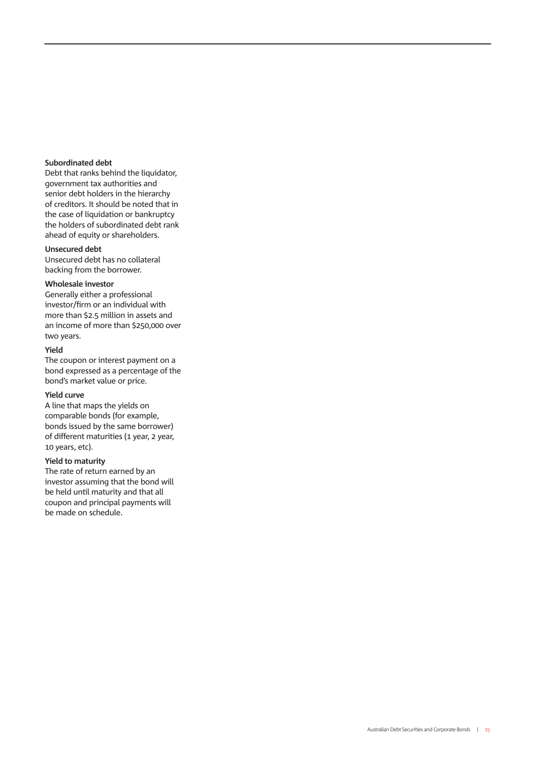#### **Subordinated debt**

Debt that ranks behind the liquidator, government tax authorities and senior debt holders in the hierarchy of creditors. It should be noted that in the case of liquidation or bankruptcy the holders of subordinated debt rank ahead of equity or shareholders.

#### **Unsecured debt**

Unsecured debt has no collateral backing from the borrower.

#### **Wholesale investor**

Generally either a professional investor/firm or an individual with more than \$2.5 million in assets and an income of more than \$250,000 over two years.

#### **Yield**

The coupon or interest payment on a bond expressed as a percentage of the bond's market value or price.

#### **Yield curve**

A line that maps the yields on comparable bonds (for example, bonds issued by the same borrower) of different maturities (1 year, 2 year, 10 years, etc).

#### **Yield to maturity**

The rate of return earned by an investor assuming that the bond will be held until maturity and that all coupon and principal payments will be made on schedule.